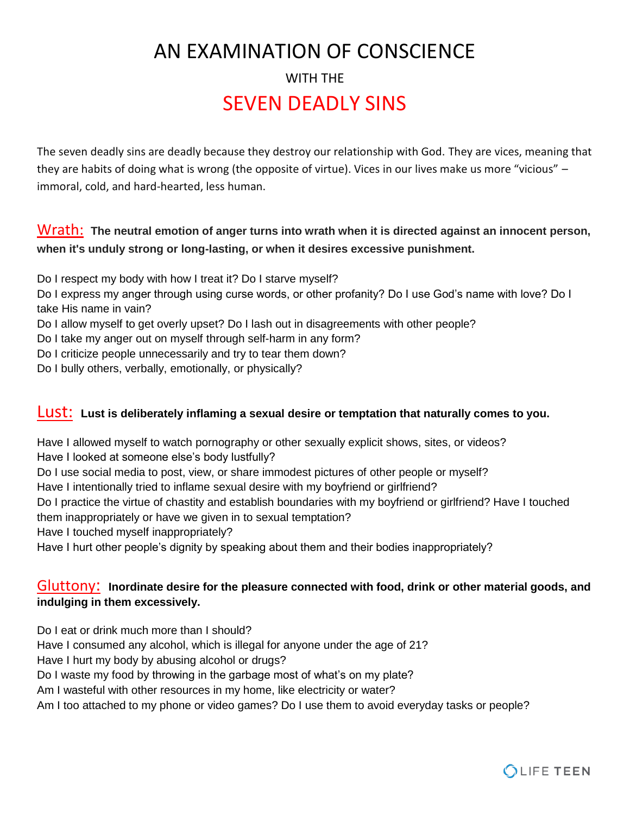# AN EXAMINATION OF CONSCIENCE WITH THE SEVEN DEADLY SINS

The seven deadly sins are deadly because they destroy our relationship with God. They are vices, meaning that they are habits of doing what is wrong (the opposite of virtue). Vices in our lives make us more "vicious" – immoral, cold, and hard-hearted, less human.

## Wrath: **The neutral emotion of anger turns into wrath when it is directed against an innocent person, when it's unduly strong or long-lasting, or when it desires excessive punishment.**

- Do I respect my body with how I treat it? Do I starve myself?
- Do I express my anger through using curse words, or other profanity? Do I use God's name with love? Do I take His name in vain?
- Do I allow myself to get overly upset? Do I lash out in disagreements with other people?
- Do I take my anger out on myself through self-harm in any form?
- Do I criticize people unnecessarily and try to tear them down?
- Do I bully others, verbally, emotionally, or physically?

#### Lust: **Lust is deliberately inflaming a sexual desire or temptation that naturally comes to you.**

Have I allowed myself to watch pornography or other sexually explicit shows, sites, or videos? Have I looked at someone else's body lustfully?

Do I use social media to post, view, or share immodest pictures of other people or myself?

Have I intentionally tried to inflame sexual desire with my boyfriend or girlfriend?

Do I practice the virtue of chastity and establish boundaries with my boyfriend or girlfriend? Have I touched them inappropriately or have we given in to sexual temptation?

Have I touched myself inappropriately?

Have I hurt other people's dignity by speaking about them and their bodies inappropriately?

### Gluttony: **Inordinate desire for the pleasure connected with food, drink or other material goods, and indulging in them excessively.**

Do I eat or drink much more than I should?

Have I consumed any alcohol, which is illegal for anyone under the age of 21?

Have I hurt my body by abusing alcohol or drugs?

Do I waste my food by throwing in the garbage most of what's on my plate?

Am I wasteful with other resources in my home, like electricity or water?

Am I too attached to my phone or video games? Do I use them to avoid everyday tasks or people?